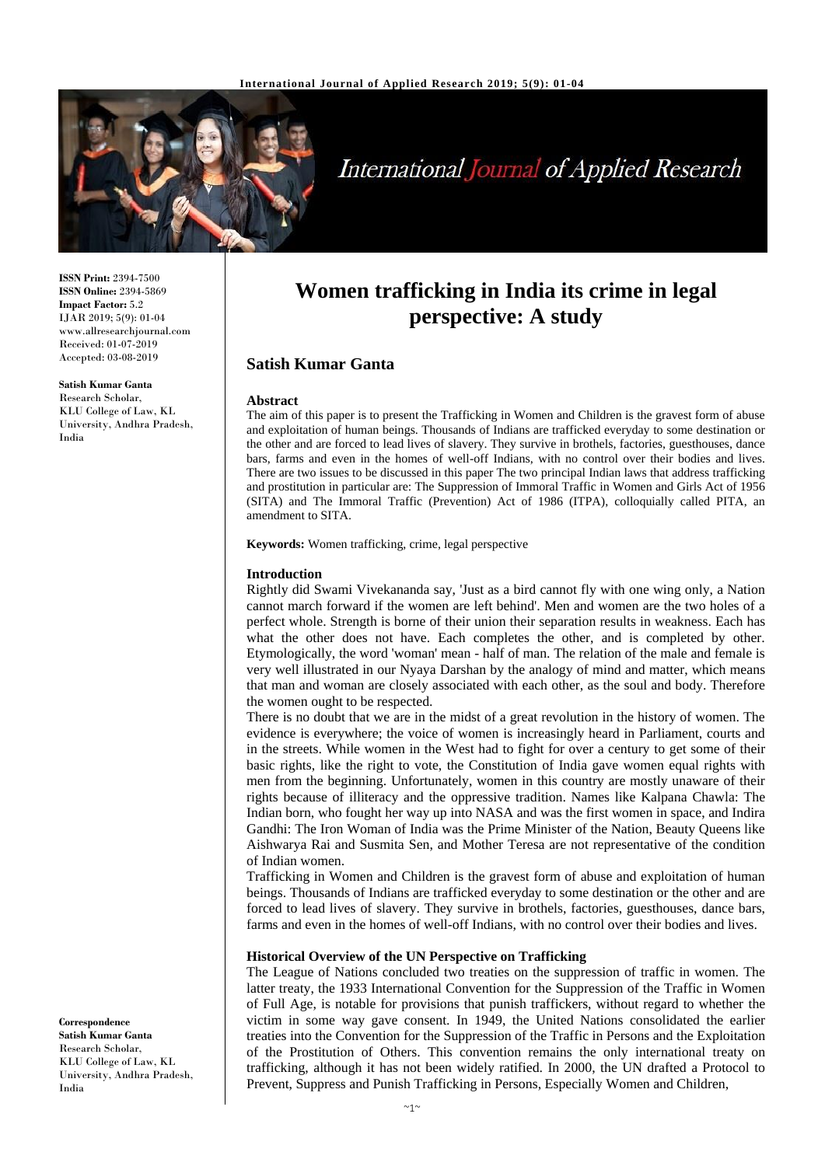

# **International Journal of Applied Research**

**ISSN Print:** 2394-7500 **ISSN Online:** 2394-5869 **Impact Factor:** 5.2 IJAR 2019; 5(9): 01-04 www.allresearchjournal.com Received: 01-07-2019 Accepted: 03-08-2019

**Satish Kumar Ganta** Research Scholar, KLU College of Law, KL University, Andhra Pradesh, India

**Women trafficking in India its crime in legal perspective: A study**

## **Satish Kumar Ganta**

#### **Abstract**

The aim of this paper is to present the Trafficking in Women and Children is the gravest form of abuse and exploitation of human beings. Thousands of Indians are trafficked everyday to some destination or the other and are forced to lead lives of slavery. They survive in brothels, factories, guesthouses, dance bars, farms and even in the homes of well-off Indians, with no control over their bodies and lives. There are two issues to be discussed in this paper The two principal Indian laws that address trafficking and prostitution in particular are: The Suppression of Immoral Traffic in Women and Girls Act of 1956 (SITA) and The Immoral Traffic (Prevention) Act of 1986 (ITPA), colloquially called PITA, an amendment to SITA.

**Keywords:** Women trafficking, crime, legal perspective

#### **Introduction**

Rightly did Swami Vivekananda say, 'Just as a bird cannot fly with one wing only, a Nation cannot march forward if the women are left behind'. Men and women are the two holes of a perfect whole. Strength is borne of their union their separation results in weakness. Each has what the other does not have. Each completes the other, and is completed by other. Etymologically, the word 'woman' mean - half of man. The relation of the male and female is very well illustrated in our Nyaya Darshan by the analogy of mind and matter, which means that man and woman are closely associated with each other, as the soul and body. Therefore the women ought to be respected.

There is no doubt that we are in the midst of a great revolution in the history of women. The evidence is everywhere; the voice of women is increasingly heard in Parliament, courts and in the streets. While women in the West had to fight for over a century to get some of their basic rights, like the right to vote, the Constitution of India gave women equal rights with men from the beginning. Unfortunately, women in this country are mostly unaware of their rights because of illiteracy and the oppressive tradition. Names like Kalpana Chawla: The Indian born, who fought her way up into NASA and was the first women in space, and Indira Gandhi: The Iron Woman of India was the Prime Minister of the Nation, Beauty Queens like Aishwarya Rai and Susmita Sen, and Mother Teresa are not representative of the condition of Indian women.

Trafficking in Women and Children is the gravest form of abuse and exploitation of human beings. Thousands of Indians are trafficked everyday to some destination or the other and are forced to lead lives of slavery. They survive in brothels, factories, guesthouses, dance bars, farms and even in the homes of well-off Indians, with no control over their bodies and lives.

#### **Historical Overview of the UN Perspective on Trafficking**

The League of Nations concluded two treaties on the suppression of traffic in women. The latter treaty, the 1933 International Convention for the Suppression of the Traffic in Women of Full Age, is notable for provisions that punish traffickers, without regard to whether the victim in some way gave consent. In 1949, the United Nations consolidated the earlier treaties into the Convention for the Suppression of the Traffic in Persons and the Exploitation of the Prostitution of Others. This convention remains the only international treaty on trafficking, although it has not been widely ratified. In 2000, the UN drafted a Protocol to Prevent, Suppress and Punish Trafficking in Persons, Especially Women and Children,

**Correspondence Satish Kumar Ganta** Research Scholar, KLU College of Law, KL University, Andhra Pradesh, India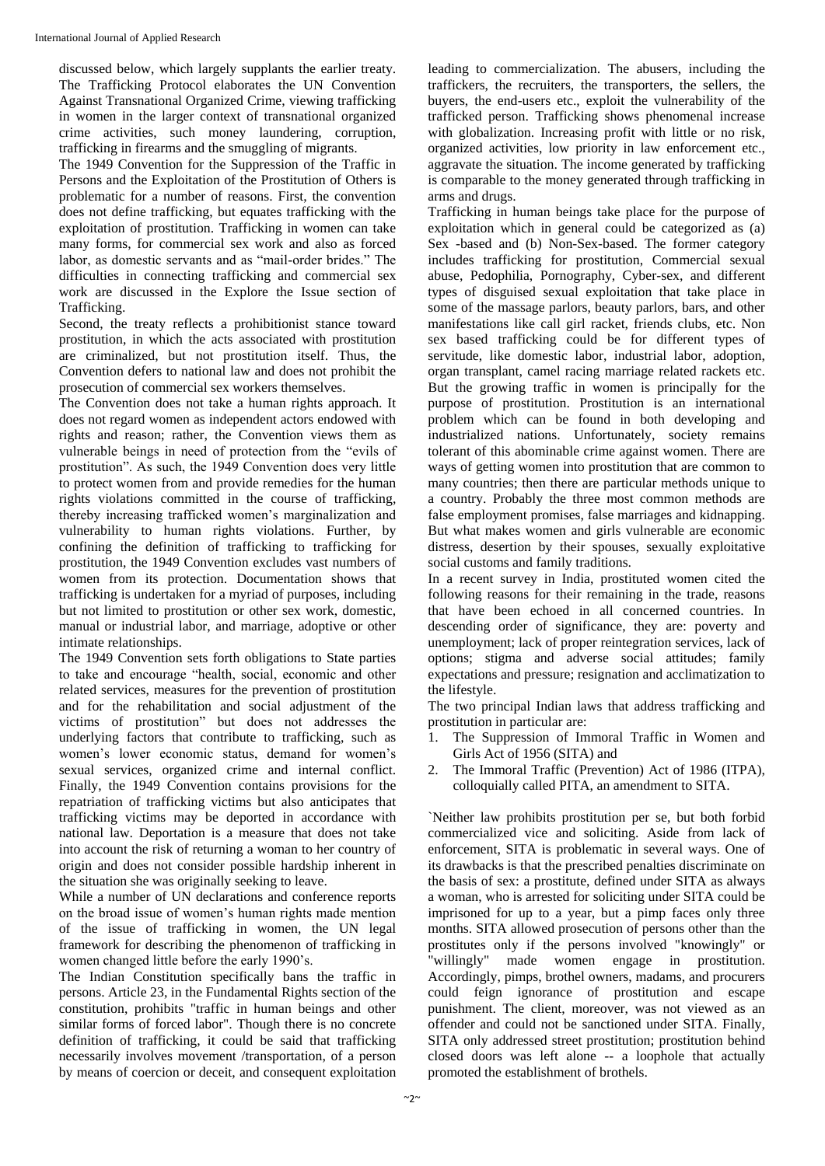discussed below, which largely supplants the earlier treaty. The Trafficking Protocol elaborates the UN Convention Against Transnational Organized Crime, viewing trafficking in women in the larger context of transnational organized crime activities, such money laundering, corruption, trafficking in firearms and the smuggling of migrants.

The 1949 Convention for the Suppression of the Traffic in Persons and the Exploitation of the Prostitution of Others is problematic for a number of reasons. First, the convention does not define trafficking, but equates trafficking with the exploitation of prostitution. Trafficking in women can take many forms, for commercial sex work and also as forced labor, as domestic servants and as "mail-order brides." The difficulties in connecting trafficking and commercial sex work are discussed in the Explore the Issue section of Trafficking.

Second, the treaty reflects a prohibitionist stance toward prostitution, in which the acts associated with prostitution are criminalized, but not prostitution itself. Thus, the Convention defers to national law and does not prohibit the prosecution of commercial sex workers themselves.

The Convention does not take a human rights approach. It does not regard women as independent actors endowed with rights and reason; rather, the Convention views them as vulnerable beings in need of protection from the "evils of prostitution". As such, the 1949 Convention does very little to protect women from and provide remedies for the human rights violations committed in the course of trafficking, thereby increasing trafficked women's marginalization and vulnerability to human rights violations. Further, by confining the definition of trafficking to trafficking for prostitution, the 1949 Convention excludes vast numbers of women from its protection. Documentation shows that trafficking is undertaken for a myriad of purposes, including but not limited to prostitution or other sex work, domestic, manual or industrial labor, and marriage, adoptive or other intimate relationships.

The 1949 Convention sets forth obligations to State parties to take and encourage "health, social, economic and other related services, measures for the prevention of prostitution and for the rehabilitation and social adjustment of the victims of prostitution" but does not addresses the underlying factors that contribute to trafficking, such as women's lower economic status, demand for women's sexual services, organized crime and internal conflict. Finally, the 1949 Convention contains provisions for the repatriation of trafficking victims but also anticipates that trafficking victims may be deported in accordance with national law. Deportation is a measure that does not take into account the risk of returning a woman to her country of origin and does not consider possible hardship inherent in the situation she was originally seeking to leave.

While a number of UN declarations and conference reports on the broad issue of women's human rights made mention of the issue of trafficking in women, the UN legal framework for describing the phenomenon of trafficking in women changed little before the early 1990's.

The Indian Constitution specifically bans the traffic in persons. Article 23, in the Fundamental Rights section of the constitution, prohibits "traffic in human beings and other similar forms of forced labor". Though there is no concrete definition of trafficking, it could be said that trafficking necessarily involves movement /transportation, of a person by means of coercion or deceit, and consequent exploitation leading to commercialization. The abusers, including the traffickers, the recruiters, the transporters, the sellers, the buyers, the end-users etc., exploit the vulnerability of the trafficked person. Trafficking shows phenomenal increase with globalization. Increasing profit with little or no risk, organized activities, low priority in law enforcement etc., aggravate the situation. The income generated by trafficking is comparable to the money generated through trafficking in arms and drugs.

Trafficking in human beings take place for the purpose of exploitation which in general could be categorized as (a) Sex -based and (b) Non-Sex-based. The former category includes trafficking for prostitution, Commercial sexual abuse, Pedophilia, Pornography, Cyber-sex, and different types of disguised sexual exploitation that take place in some of the massage parlors, beauty parlors, bars, and other manifestations like call girl racket, friends clubs, etc. Non sex based trafficking could be for different types of servitude, like domestic labor, industrial labor, adoption, organ transplant, camel racing marriage related rackets etc. But the growing traffic in women is principally for the purpose of prostitution. Prostitution is an international problem which can be found in both developing and industrialized nations. Unfortunately, society remains tolerant of this abominable crime against women. There are ways of getting women into prostitution that are common to many countries; then there are particular methods unique to a country. Probably the three most common methods are false employment promises, false marriages and kidnapping. But what makes women and girls vulnerable are economic distress, desertion by their spouses, sexually exploitative social customs and family traditions.

In a recent survey in India, prostituted women cited the following reasons for their remaining in the trade, reasons that have been echoed in all concerned countries. In descending order of significance, they are: poverty and unemployment; lack of proper reintegration services, lack of options; stigma and adverse social attitudes; family expectations and pressure; resignation and acclimatization to the lifestyle.

The two principal Indian laws that address trafficking and prostitution in particular are:

- 1. The Suppression of Immoral Traffic in Women and Girls Act of 1956 (SITA) and
- 2. The Immoral Traffic (Prevention) Act of 1986 (ITPA), colloquially called PITA, an amendment to SITA.

`Neither law prohibits prostitution per se, but both forbid commercialized vice and soliciting. Aside from lack of enforcement, SITA is problematic in several ways. One of its drawbacks is that the prescribed penalties discriminate on the basis of sex: a prostitute, defined under SITA as always a woman, who is arrested for soliciting under SITA could be imprisoned for up to a year, but a pimp faces only three months. SITA allowed prosecution of persons other than the prostitutes only if the persons involved "knowingly" or "willingly" made women engage in prostitution. Accordingly, pimps, brothel owners, madams, and procurers could feign ignorance of prostitution and escape punishment. The client, moreover, was not viewed as an offender and could not be sanctioned under SITA. Finally, SITA only addressed street prostitution; prostitution behind closed doors was left alone -- a loophole that actually promoted the establishment of brothels.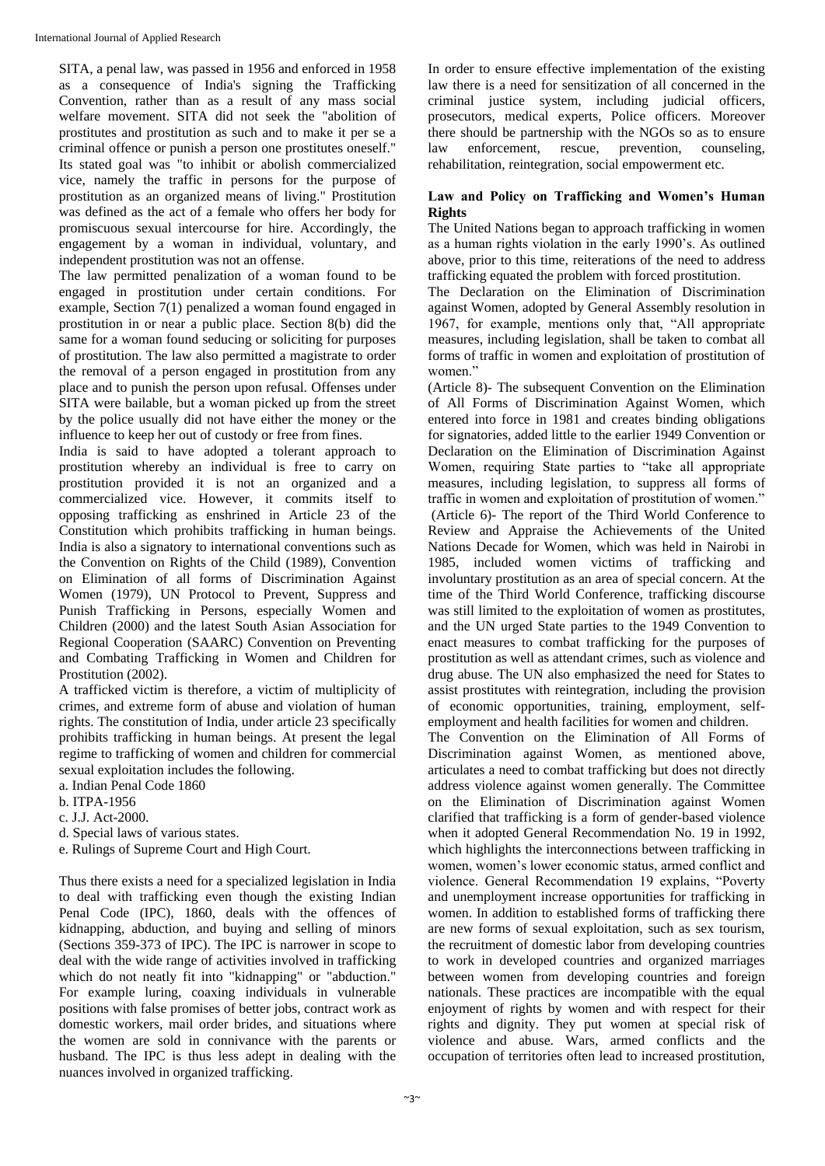SITA, a penal law, was passed in 1956 and enforced in 1958 as a consequence of India's signing the Trafficking Convention, rather than as a result of any mass social welfare movement. SITA did not seek the "abolition of prostitutes and prostitution as such and to make it per se a criminal offence or punish a person one prostitutes oneself." Its stated goal was "to inhibit or abolish commercialized vice, namely the traffic in persons for the purpose of prostitution as an organized means of living." Prostitution was defined as the act of a female who offers her body for promiscuous sexual intercourse for hire. Accordingly, the engagement by a woman in individual, voluntary, and independent prostitution was not an offense.

The law permitted penalization of a woman found to be engaged in prostitution under certain conditions. For example, Section 7(1) penalized a woman found engaged in prostitution in or near a public place. Section 8(b) did the same for a woman found seducing or soliciting for purposes of prostitution. The law also permitted a magistrate to order the removal of a person engaged in prostitution from any place and to punish the person upon refusal. Offenses under SITA were bailable, but a woman picked up from the street by the police usually did not have either the money or the influence to keep her out of custody or free from fines.

India is said to have adopted a tolerant approach to prostitution whereby an individual is free to carry on prostitution provided it is not an organized and a commercialized vice. However, it commits itself to opposing trafficking as enshrined in Article 23 of the Constitution which prohibits trafficking in human beings. India is also a signatory to international conventions such as the Convention on Rights of the Child (1989), Convention on Elimination of all forms of Discrimination Against Women (1979), UN Protocol to Prevent, Suppress and Punish Trafficking in Persons, especially Women and Children (2000) and the latest South Asian Association for Regional Cooperation (SAARC) Convention on Preventing and Combating Trafficking in Women and Children for Prostitution (2002).

A trafficked victim is therefore, a victim of multiplicity of crimes, and extreme form of abuse and violation of human rights. The constitution of India, under article 23 specifically prohibits trafficking in human beings. At present the legal regime to trafficking of women and children for commercial sexual exploitation includes the following.

a. Indian Penal Code 1860

b. ITPA-1956

- c. J.J. Act-2000.
- d. Special laws of various states.
- e. Rulings of Supreme Court and High Court.

Thus there exists a need for a specialized legislation in India to deal with trafficking even though the existing Indian Penal Code (IPC), 1860, deals with the offences of kidnapping, abduction, and buying and selling of minors (Sections 359-373 of IPC). The IPC is narrower in scope to deal with the wide range of activities involved in trafficking which do not neatly fit into "kidnapping" or "abduction." For example luring, coaxing individuals in vulnerable positions with false promises of better jobs, contract work as domestic workers, mail order brides, and situations where the women are sold in connivance with the parents or husband. The IPC is thus less adept in dealing with the nuances involved in organized trafficking.

In order to ensure effective implementation of the existing law there is a need for sensitization of all concerned in the criminal justice system, including judicial officers, prosecutors, medical experts, Police officers. Moreover there should be partnership with the NGOs so as to ensure law enforcement, rescue, prevention, counseling, rehabilitation, reintegration, social empowerment etc.

### **Law and Policy on Trafficking and Women's Human Rights**

The United Nations began to approach trafficking in women as a human rights violation in the early 1990's. As outlined above, prior to this time, reiterations of the need to address trafficking equated the problem with forced prostitution.

The Declaration on the Elimination of Discrimination against Women, adopted by General Assembly resolution in 1967, for example, mentions only that, "All appropriate measures, including legislation, shall be taken to combat all forms of traffic in women and exploitation of prostitution of women."

(Article 8)- The subsequent Convention on the Elimination of All Forms of Discrimination Against Women, which entered into force in 1981 and creates binding obligations for signatories, added little to the earlier 1949 Convention or Declaration on the Elimination of Discrimination Against Women, requiring State parties to "take all appropriate measures, including legislation, to suppress all forms of traffic in women and exploitation of prostitution of women." (Article 6)- The report of the Third World Conference to Review and Appraise the Achievements of the United Nations Decade for Women, which was held in Nairobi in 1985, included women victims of trafficking and involuntary prostitution as an area of special concern. At the time of the Third World Conference, trafficking discourse was still limited to the exploitation of women as prostitutes, and the UN urged State parties to the 1949 Convention to enact measures to combat trafficking for the purposes of prostitution as well as attendant crimes, such as violence and drug abuse. The UN also emphasized the need for States to assist prostitutes with reintegration, including the provision of economic opportunities, training, employment, selfemployment and health facilities for women and children.

The Convention on the Elimination of All Forms of Discrimination against Women, as mentioned above, articulates a need to combat trafficking but does not directly address violence against women generally. The Committee on the Elimination of Discrimination against Women clarified that trafficking is a form of gender-based violence when it adopted General Recommendation No. 19 in 1992, which highlights the interconnections between trafficking in women, women's lower economic status, armed conflict and violence. General Recommendation 19 explains, "Poverty and unemployment increase opportunities for trafficking in women. In addition to established forms of trafficking there are new forms of sexual exploitation, such as sex tourism, the recruitment of domestic labor from developing countries to work in developed countries and organized marriages between women from developing countries and foreign nationals. These practices are incompatible with the equal enjoyment of rights by women and with respect for their rights and dignity. They put women at special risk of violence and abuse. Wars, armed conflicts and the occupation of territories often lead to increased prostitution,